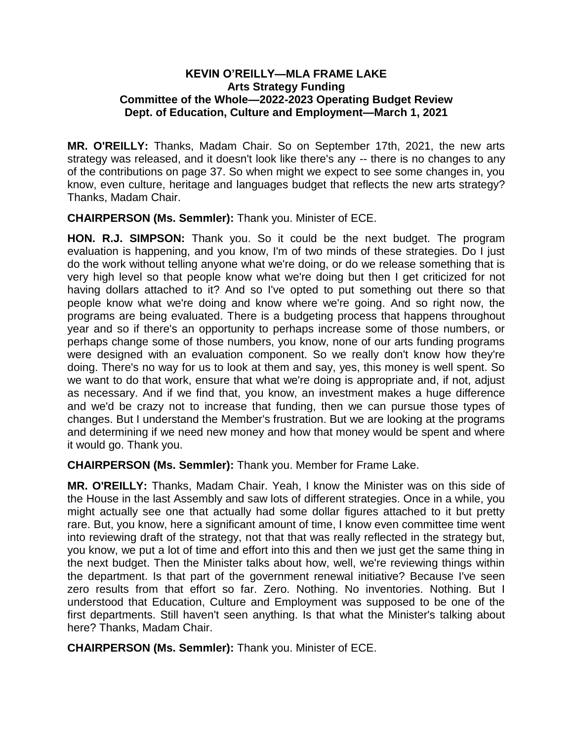## **KEVIN O'REILLY—MLA FRAME LAKE Arts Strategy Funding Committee of the Whole—2022-2023 Operating Budget Review Dept. of Education, Culture and Employment—March 1, 2021**

**MR. O'REILLY:** Thanks, Madam Chair. So on September 17th, 2021, the new arts strategy was released, and it doesn't look like there's any -- there is no changes to any of the contributions on page 37. So when might we expect to see some changes in, you know, even culture, heritage and languages budget that reflects the new arts strategy? Thanks, Madam Chair.

**CHAIRPERSON (Ms. Semmler):** Thank you. Minister of ECE.

**HON. R.J. SIMPSON:** Thank you. So it could be the next budget. The program evaluation is happening, and you know, I'm of two minds of these strategies. Do I just do the work without telling anyone what we're doing, or do we release something that is very high level so that people know what we're doing but then I get criticized for not having dollars attached to it? And so I've opted to put something out there so that people know what we're doing and know where we're going. And so right now, the programs are being evaluated. There is a budgeting process that happens throughout year and so if there's an opportunity to perhaps increase some of those numbers, or perhaps change some of those numbers, you know, none of our arts funding programs were designed with an evaluation component. So we really don't know how they're doing. There's no way for us to look at them and say, yes, this money is well spent. So we want to do that work, ensure that what we're doing is appropriate and, if not, adjust as necessary. And if we find that, you know, an investment makes a huge difference and we'd be crazy not to increase that funding, then we can pursue those types of changes. But I understand the Member's frustration. But we are looking at the programs and determining if we need new money and how that money would be spent and where it would go. Thank you.

**CHAIRPERSON (Ms. Semmler):** Thank you. Member for Frame Lake.

**MR. O'REILLY:** Thanks, Madam Chair. Yeah, I know the Minister was on this side of the House in the last Assembly and saw lots of different strategies. Once in a while, you might actually see one that actually had some dollar figures attached to it but pretty rare. But, you know, here a significant amount of time, I know even committee time went into reviewing draft of the strategy, not that that was really reflected in the strategy but, you know, we put a lot of time and effort into this and then we just get the same thing in the next budget. Then the Minister talks about how, well, we're reviewing things within the department. Is that part of the government renewal initiative? Because I've seen zero results from that effort so far. Zero. Nothing. No inventories. Nothing. But I understood that Education, Culture and Employment was supposed to be one of the first departments. Still haven't seen anything. Is that what the Minister's talking about here? Thanks, Madam Chair.

**CHAIRPERSON (Ms. Semmler):** Thank you. Minister of ECE.